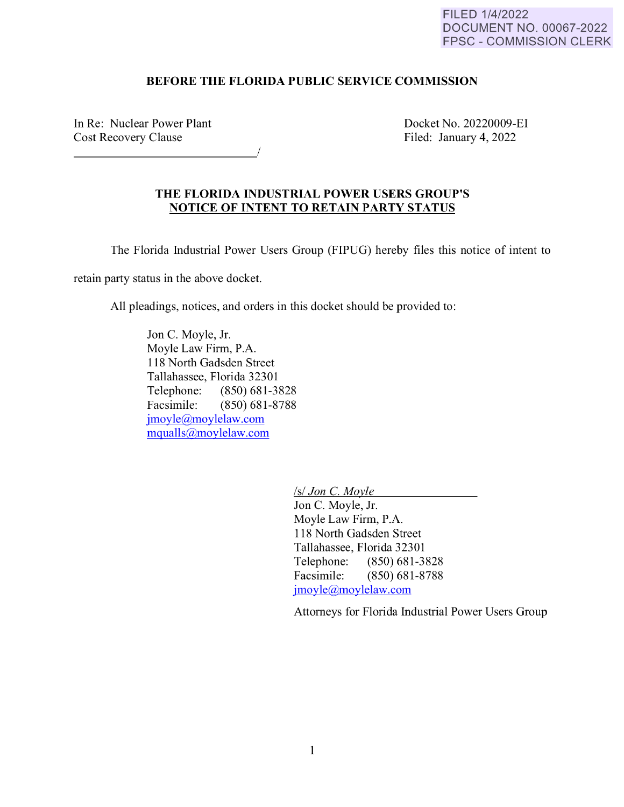## FILED 1/4/2022 DOCUMENT NO. 00067-2022 FPSC - COMMISSION CLERK

## **BEFORE THE FLORIDA PUBLIC SERVICE COMMISSION**

In Re: Nuclear Power Plant Cost Recovery Clause Docket No. 20220009-EI Filed: January 4, 2022

## **THE FLORIDA INDUSTRIAL POWER USERS GROUP'S NOTICE OF INTENT TO RETAIN PARTY STATUS**

The Florida Industrial Power Users Group (FIPUG) hereby files this notice of intent to

retain party status in the above docket.

All pleadings, notices, and orders in this docket should be provided to:

Jon C. Moyle, Jr. Moyle Law Firm, P.A. 118 North Gadsden Street Tallahassee, Florida 32301 Telephone: (850) 681-3828 Facsimile: (850) 681-8788 [jmoyle@moylelaw.com](mailto:jmoyle@moylelaw.com)  [mqualls@moylelaw.com](mailto:mqualls@moylelaw.com) 

*Isl Jon* C. *Movie* 

Jon C. Moyle, Jr. Moyle Law Firm, P.A. 118 North Gadsden Street Tallahassee, Florida 32301 Telephone: (850) 681-3828 Facsimile: (850) 681-8788 [jmoyle@moylelaw.com](mailto:jmoyle@moylelaw.com) 

Attorneys for Florida Industrial Power Users Group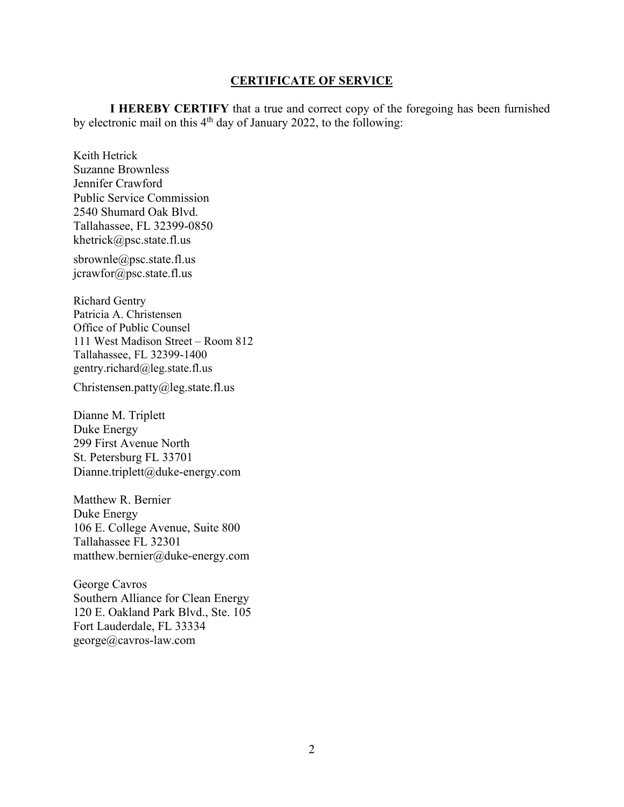## **CERTIFICATE OF SERVICE**

**I HEREBY CERTIFY** that a true and correct copy of the foregoing has been furnished by electronic mail on this  $4<sup>th</sup>$  day of January 2022, to the following:

[khetrick@psc.state.fl.us](mailto:khetrick@psc.state.fl.us)  Keith Hetrick Suzanne Brownless Jennifer Crawford Public Service Commission 2540 Shumard Oak Blvd. Tallahassee, FL 32399-0850

[sbrownle@psc.state.fl.us](mailto:sbrownle@psc.state.fl.us) jcrawfor@psc.state.fl.us

Richard Gentry Patricia A. Christensen Office of Public Counsel 111 West Madison Street – Room 812 Tallahassee, FL 32399-1400 [gentry.richard@leg.state.fl.us](mailto:gentry.richard@leg.state.fl.us)

[Christensen.patty@leg.state.fl.us](mailto:Christensen.patty@leg.state.fl.us)

Dianne M. Triplett Duke Energy 299 First Avenue North St. Petersburg FL 33701 Dianne.triplett@duke-energy.com

Matthew R. Bernier Duke Energy 106 E. College Avenue, Suite 800 Tallahassee FL 32301 [matthew.bernier@duke-energy.com](mailto:matthew.bernier@duke-energy.com)

George Cavros Southern Alliance for Clean Energy 120 E. Oakland Park Blvd., Ste. 105 Fort Lauderdale, FL 33334 [george@cavros-law.com](mailto:george@cavros-law.com)